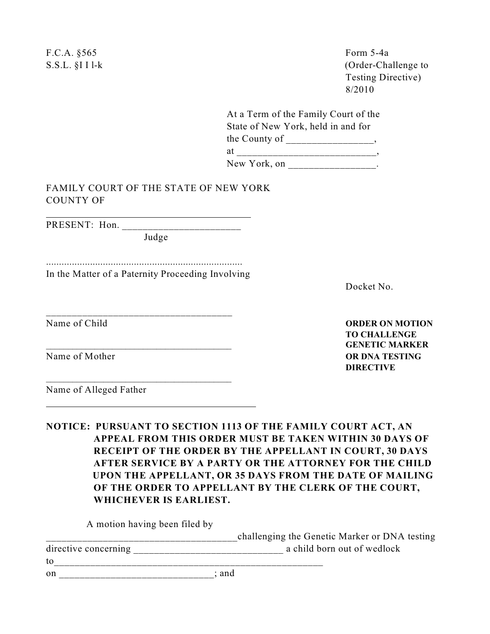F.C.A. §565 Form 5-4a S.S.L. §I I l-k (Order-Challenge to Testing Directive) 8/2010 At a Term of the Family Court of the State of New York, held in and for the County of \_\_\_\_\_\_\_\_\_\_\_\_\_\_\_\_, at \_\_\_\_\_\_\_\_\_\_\_\_\_\_\_\_\_\_\_\_\_\_\_\_\_\_\_, New York, on \_\_\_\_\_\_\_\_\_\_\_\_\_\_\_\_\_\_. FAMILY COURT OF THE STATE OF NEW YORK COUNTY OF PRESENT: Hon. Judge ............................................................................ In the Matter of a Paternity Proceeding Involving Docket No. \_\_\_\_\_\_\_\_\_\_\_\_\_\_\_\_\_\_\_\_\_\_\_\_\_\_\_\_\_\_\_\_\_\_\_\_ Name of Child **ORDER ON MOTION TO CHALLENGE** \_\_\_\_\_\_\_\_\_\_\_\_\_\_\_\_\_\_\_\_\_\_\_\_\_\_\_\_\_\_\_\_\_\_\_\_\_\_\_\_\_\_ **GENETIC MARKER**  Name of Mother **OR DNA TESTING DIRECTIVE** \_\_\_\_\_\_\_\_\_\_\_\_\_\_\_\_\_\_\_\_\_\_\_\_\_\_\_\_\_\_\_\_\_\_\_\_\_\_\_\_\_\_ Name of Alleged Father

**NOTICE: PURSUANT TO SECTION 1113 OF THE FAMILY COURT ACT, AN APPEAL FROM THIS ORDER MUST BE TAKEN WITHIN 30 DAYS OF RECEIPT OF THE ORDER BY THE APPELLANT IN COURT, 30 DAYS AFTER SERVICE BY A PARTY OR THE ATTORNEY FOR THE CHILD UPON THE APPELLANT, OR 35 DAYS FROM THE DATE OF MAILING OF THE ORDER TO APPELLANT BY THE CLERK OF THE COURT, WHICHEVER IS EARLIEST.**

A motion having been filed by

|                      | challenging the Genetic Marker or DNA testing |  |
|----------------------|-----------------------------------------------|--|
| directive concerning | a child born out of wedlock                   |  |
| to                   |                                               |  |
| -on                  | and                                           |  |